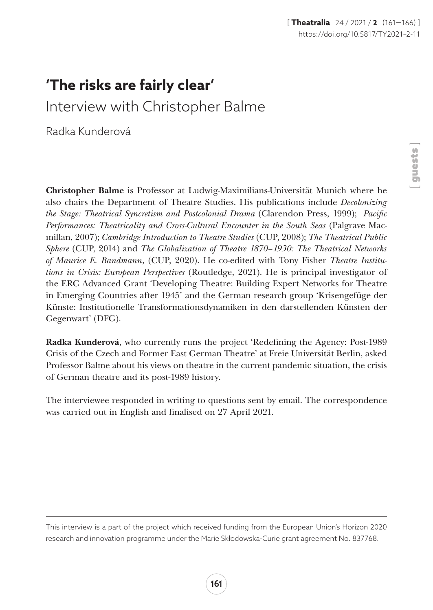## **'The risks are fairly clear'**

Interview with Christopher Balme

Radka Kunderová

Christopher Balme is Professor at Ludwig-Maximilians-Universität Munich where he also chairs the Department of Theatre Studies. His publications include *Decolonizing the Stage: Theatrical Syncretism and Postcolonial Drama* (Clarendon Press, 1999); *Pacific Performances: Theatricality and Cross-Cultural Encounter in the South Seas* (Palgrave Macmillan, 2007); *Cambridge Introduction to Theatre Studies* (CUP, 2008); *The Theatrical Public Sphere* (CUP, 2014) and *The Globalization of Theatre 1870–1930: The Theatrical Networks of Maurice E. Bandmann*, (CUP, 2020). He co-edited with Tony Fisher *Theatre Institutions in Crisis: European Perspectives* (Routledge, 2021). He is principal investigator of the ERC Advanced Grant 'Developing Theatre: Building Expert Networks for Theatre in Emerging Countries after 1945' and the German research group 'Krisengefüge der Künste: Institutionelle Transformationsdynamiken in den darstellenden Künsten der Gegenwart' (DFG).

Radka Kunderová, who currently runs the project 'Redefining the Agency: Post-1989 Crisis of the Czech and Former East German Theatre' at Freie Universität Berlin, asked Professor Balme about his views on theatre in the current pandemic situation, the crisis of German theatre and its post-1989 history.

The interviewee responded in writing to questions sent by email. The correspondence was carried out in English and finalised on 27 April 2021.

This interview is a part of the project which received funding from the European Union's Horizon 2020 research and innovation programme under the Marie Skłodowska-Curie grant agreement No. 837768.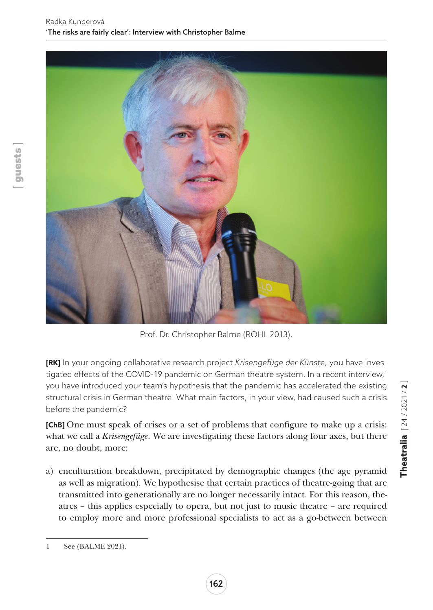

Prof. Dr. Christopher Balme (RÖHL 2013).

**[RK]** In your ongoing collaborative research project *Krisengefüge der Künste*, you have investigated effects of the COVID-19 pandemic on German theatre system. In a recent interview,<sup>1</sup> you have introduced your team's hypothesis that the pandemic has accelerated the existing structural crisis in German theatre. What main factors, in your view, had caused such a crisis before the pandemic?

**[ChB]** One must speak of crises or a set of problems that configure to make up a crisis: what we call a *Krisengefüge*. We are investigating these factors along four axes, but there are, no doubt, more:

a) enculturation breakdown, precipitated by demographic changes (the age pyramid as well as migration). We hypothesise that certain practices of theatre-going that are transmitted into generationally are no longer necessarily intact. For this reason, theatres – this applies especially to opera, but not just to music theatre – are required to employ more and more professional specialists to act as a go-between between

[ guests ]

<sup>1</sup> See (BALME 2021).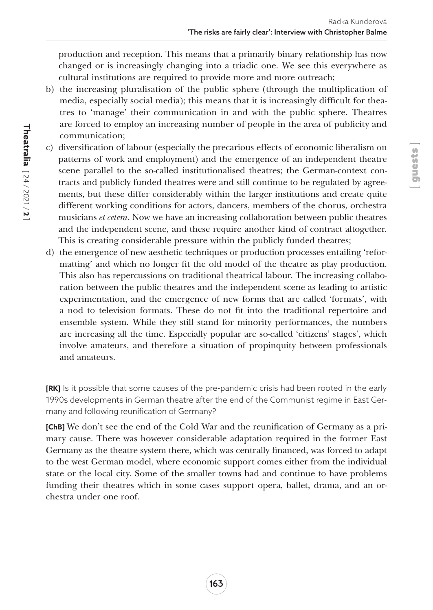[ guests ]

production and reception. This means that a primarily binary relationship has now changed or is increasingly changing into a triadic one. We see this everywhere as cultural institutions are required to provide more and more outreach;

- b) the increasing pluralisation of the public sphere (through the multiplication of media, especially social media); this means that it is increasingly difficult for theatres to 'manage' their communication in and with the public sphere. Theatres are forced to employ an increasing number of people in the area of publicity and communication;
- c) diversification of labour (especially the precarious effects of economic liberalism on patterns of work and employment) and the emergence of an independent theatre scene parallel to the so-called institutionalised theatres; the German-context contracts and publicly funded theatres were and still continue to be regulated by agreements, but these differ considerably within the larger institutions and create quite different working conditions for actors, dancers, members of the chorus, orchestra musicians *et cetera*. Now we have an increasing collaboration between public theatres and the independent scene, and these require another kind of contract altogether. This is creating considerable pressure within the publicly funded theatres;
- d) the emergence of new aesthetic techniques or production processes entailing 'reformatting' and which no longer fit the old model of the theatre as play production. This also has repercussions on traditional theatrical labour. The increasing collaboration between the public theatres and the independent scene as leading to artistic experimentation, and the emergence of new forms that are called 'formats', with a nod to television formats. These do not fit into the traditional repertoire and ensemble system. While they still stand for minority performances, the numbers are increasing all the time. Especially popular are so-called 'citizens' stages', which involve amateurs, and therefore a situation of propinquity between professionals and amateurs.

**[RK]** Is it possible that some causes of the pre-pandemic crisis had been rooted in the early 1990s developments in German theatre after the end of the Communist regime in East Germany and following reunification of Germany?

**[ChB]** We don't see the end of the Cold War and the reunification of Germany as a primary cause. There was however considerable adaptation required in the former East Germany as the theatre system there, which was centrally financed, was forced to adapt to the west German model, where economic support comes either from the individual state or the local city. Some of the smaller towns had and continue to have problems funding their theatres which in some cases support opera, ballet, drama, and an orchestra under one roof.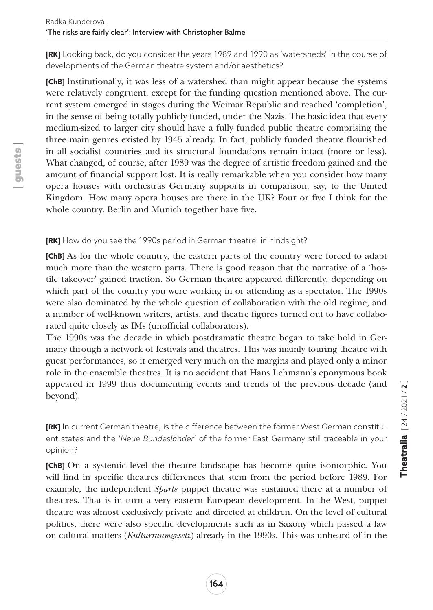**[RK]** Looking back, do you consider the years 1989 and 1990 as 'watersheds' in the course of developments of the German theatre system and/or aesthetics?

**[ChB]** Institutionally, it was less of a watershed than might appear because the systems were relatively congruent, except for the funding question mentioned above. The current system emerged in stages during the Weimar Republic and reached 'completion', in the sense of being totally publicly funded, under the Nazis. The basic idea that every medium-sized to larger city should have a fully funded public theatre comprising the three main genres existed by 1945 already. In fact, publicly funded theatre flourished in all socialist countries and its structural foundations remain intact (more or less). What changed, of course, after 1989 was the degree of artistic freedom gained and the amount of financial support lost. It is really remarkable when you consider how many opera houses with orchestras Germany supports in comparison, say, to the United Kingdom. How many opera houses are there in the UK? Four or five I think for the whole country. Berlin and Munich together have five.

## **[RK]** How do you see the 1990s period in German theatre, in hindsight?

**[ChB]** As for the whole country, the eastern parts of the country were forced to adapt much more than the western parts. There is good reason that the narrative of a 'hostile takeover' gained traction. So German theatre appeared differently, depending on which part of the country you were working in or attending as a spectator. The 1990s were also dominated by the whole question of collaboration with the old regime, and a number of well-known writers, artists, and theatre figures turned out to have collaborated quite closely as IMs (unofficial collaborators).

The 1990s was the decade in which postdramatic theatre began to take hold in Germany through a network of festivals and theatres. This was mainly touring theatre with guest performances, so it emerged very much on the margins and played only a minor role in the ensemble theatres. It is no accident that Hans Lehmann's eponymous book appeared in 1999 thus documenting events and trends of the previous decade (and beyond).

**[RK]** In current German theatre, is the difference between the former West German constituent states and the '*Neue Bundesländer*' of the former East Germany still traceable in your opinion?

**[ChB]** On a systemic level the theatre landscape has become quite isomorphic. You will find in specific theatres differences that stem from the period before 1989. For example, the independent *Sparte* puppet theatre was sustained there at a number of theatres. That is in turn a very eastern European development. In the West, puppet theatre was almost exclusively private and directed at children. On the level of cultural politics, there were also specific developments such as in Saxony which passed a law on cultural matters (*Kulturraumgesetz*) already in the 1990s. This was unheard of in the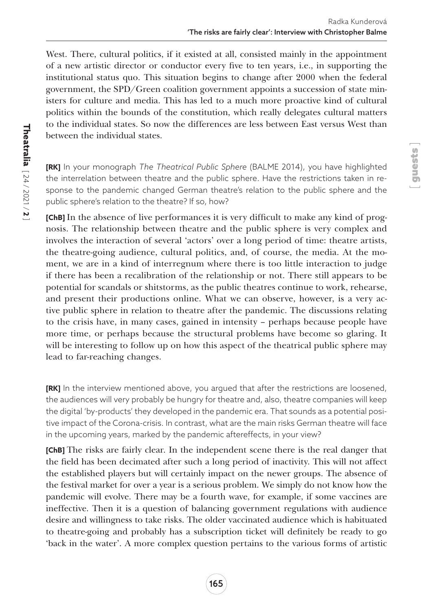[ guests ]

West. There, cultural politics, if it existed at all, consisted mainly in the appointment of a new artistic director or conductor every five to ten years, i.e., in supporting the institutional status quo. This situation begins to change after 2000 when the federal government, the SPD/Green coalition government appoints a succession of state ministers for culture and media. This has led to a much more proactive kind of cultural politics within the bounds of the constitution, which really delegates cultural matters to the individual states. So now the differences are less between East versus West than between the individual states.

**[RK]** In your monograph *The Theatrical Public Sphere* (BALME 2014), you have highlighted the interrelation between theatre and the public sphere. Have the restrictions taken in response to the pandemic changed German theatre's relation to the public sphere and the public sphere's relation to the theatre? If so, how?

**[ChB]** In the absence of live performances it is very difficult to make any kind of prognosis. The relationship between theatre and the public sphere is very complex and involves the interaction of several 'actors' over a long period of time: theatre artists, the theatre-going audience, cultural politics, and, of course, the media. At the moment, we are in a kind of interregnum where there is too little interaction to judge if there has been a recalibration of the relationship or not. There still appears to be potential for scandals or shitstorms, as the public theatres continue to work, rehearse, and present their productions online. What we can observe, however, is a very active public sphere in relation to theatre after the pandemic. The discussions relating to the crisis have, in many cases, gained in intensity – perhaps because people have more time, or perhaps because the structural problems have become so glaring. It will be interesting to follow up on how this aspect of the theatrical public sphere may lead to far-reaching changes.

**[RK]** In the interview mentioned above, you argued that after the restrictions are loosened, the audiences will very probably be hungry for theatre and, also, theatre companies will keep the digital 'by-products' they developed in the pandemic era. That sounds as a potential positive impact of the Corona-crisis. In contrast, what are the main risks German theatre will face in the upcoming years, marked by the pandemic aftereffects, in your view?

**[ChB]** The risks are fairly clear. In the independent scene there is the real danger that the field has been decimated after such a long period of inactivity. This will not affect the established players but will certainly impact on the newer groups. The absence of the festival market for over a year is a serious problem. We simply do not know how the pandemic will evolve. There may be a fourth wave, for example, if some vaccines are ineffective. Then it is a question of balancing government regulations with audience desire and willingness to take risks. The older vaccinated audience which is habituated to theatre-going and probably has a subscription ticket will definitely be ready to go 'back in the water'. A more complex question pertains to the various forms of artistic